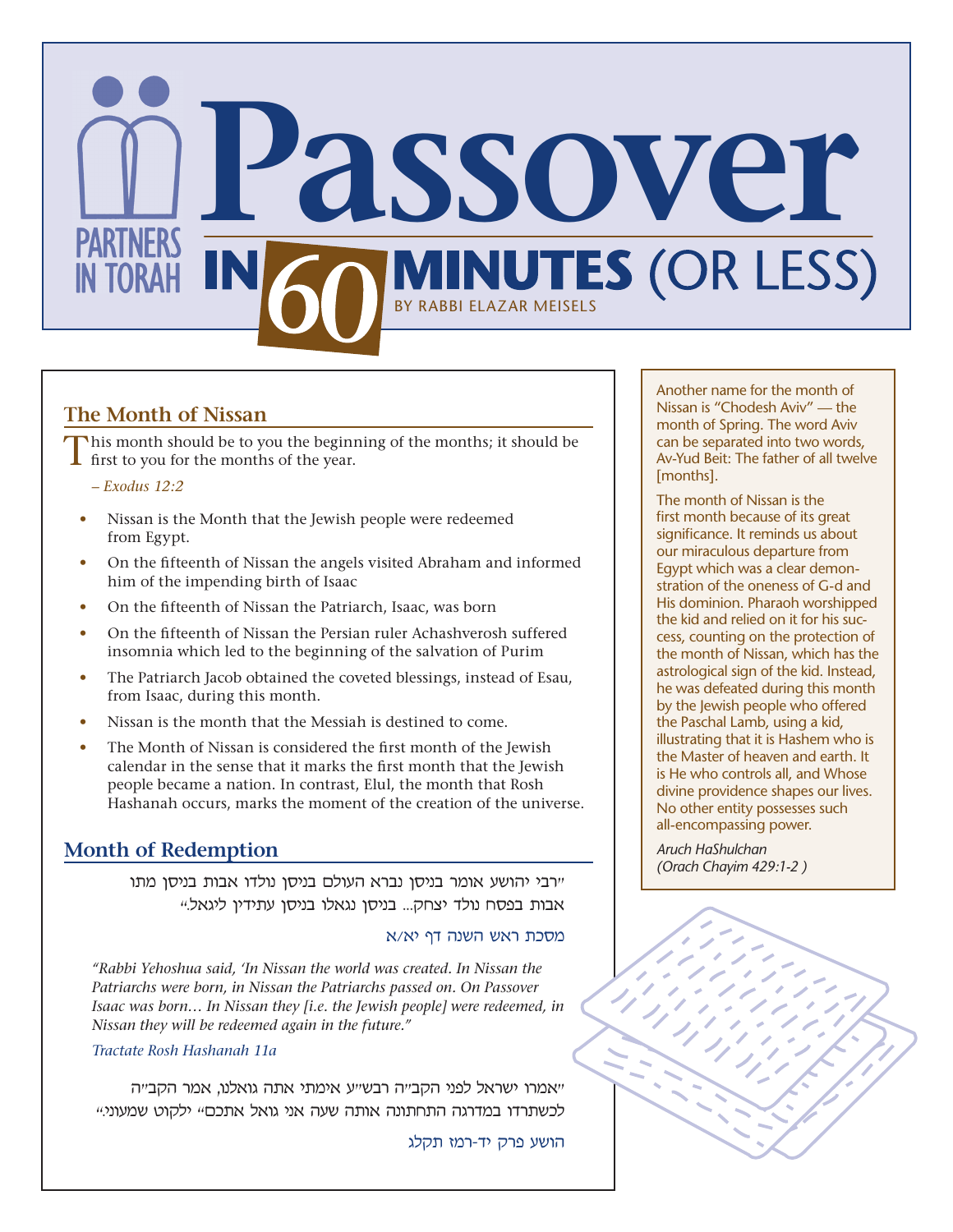

## **The Month of Nissan**

 $\Box$  his month should be to you the beginning of the months; it should be first to you for the months of the year.

*– Exodus 12:2*

- Nissan is the Month that the Jewish people were redeemed from Egypt.
- On the fifteenth of Nissan the angels visited Abraham and informed him of the impending birth of Isaac
- On the fifteenth of Nissan the Patriarch, Isaac, was born
- On the fifteenth of Nissan the Persian ruler Achashverosh suffered insomnia which led to the beginning of the salvation of Purim
- The Patriarch Jacob obtained the coveted blessings, instead of Esau, from Isaac, during this month.
- Nissan is the month that the Messiah is destined to come.
- The Month of Nissan is considered the first month of the Jewish calendar in the sense that it marks the first month that the Jewish people became a nation. In contrast, Elul, the month that Rosh Hashanah occurs, marks the moment of the creation of the universe.

## **Month of Redemption**

"רבי יהושע אומר בניסן נברא העולם בניסן נולדו אבות בניסן מתו אבות בפסח נולד יצחק... בניסן נגאלו בניסן עתידין ליגאל."

### מסכת ראש השנה דף יא/א

*"Rabbi Yehoshua said, 'In Nissan the world was created. In Nissan the Patriarchs were born, in Nissan the Patriarchs passed on. On Passover Isaac was born… In Nissan they [i.e. the Jewish people] were redeemed, in Nissan they will be redeemed again in the future."* 

### *Tractate Rosh Hashanah 11a*

"אמרו ישראל לפני הקב"ה רבש"ע אימתי אתה גואלנו, אמר הקב"ה לכשתרדו במדרגה התחתונה אותה שעה אני גואל אתכם" ילקוט שמעוני."

הושע פרק יד-רמז תקלג

Another name for the month of Nissan is "Chodesh Aviv" — the month of Spring. The word Aviv can be separated into two words, Av-Yud Beit: The father of all twelve [months].

The month of Nissan is the first month because of its great significance. It reminds us about our miraculous departure from Egypt which was a clear demonstration of the oneness of G-d and His dominion. Pharaoh worshipped the kid and relied on it for his success, counting on the protection of the month of Nissan, which has the astrological sign of the kid. Instead, he was defeated during this month by the Jewish people who offered the Paschal Lamb, using a kid, illustrating that it is Hashem who is the Master of heaven and earth. It is He who controls all, and Whose divine providence shapes our lives. No other entity possesses such all-encompassing power.

*Aruch HaShulchan (Orach Chayim 429:1-2 )*

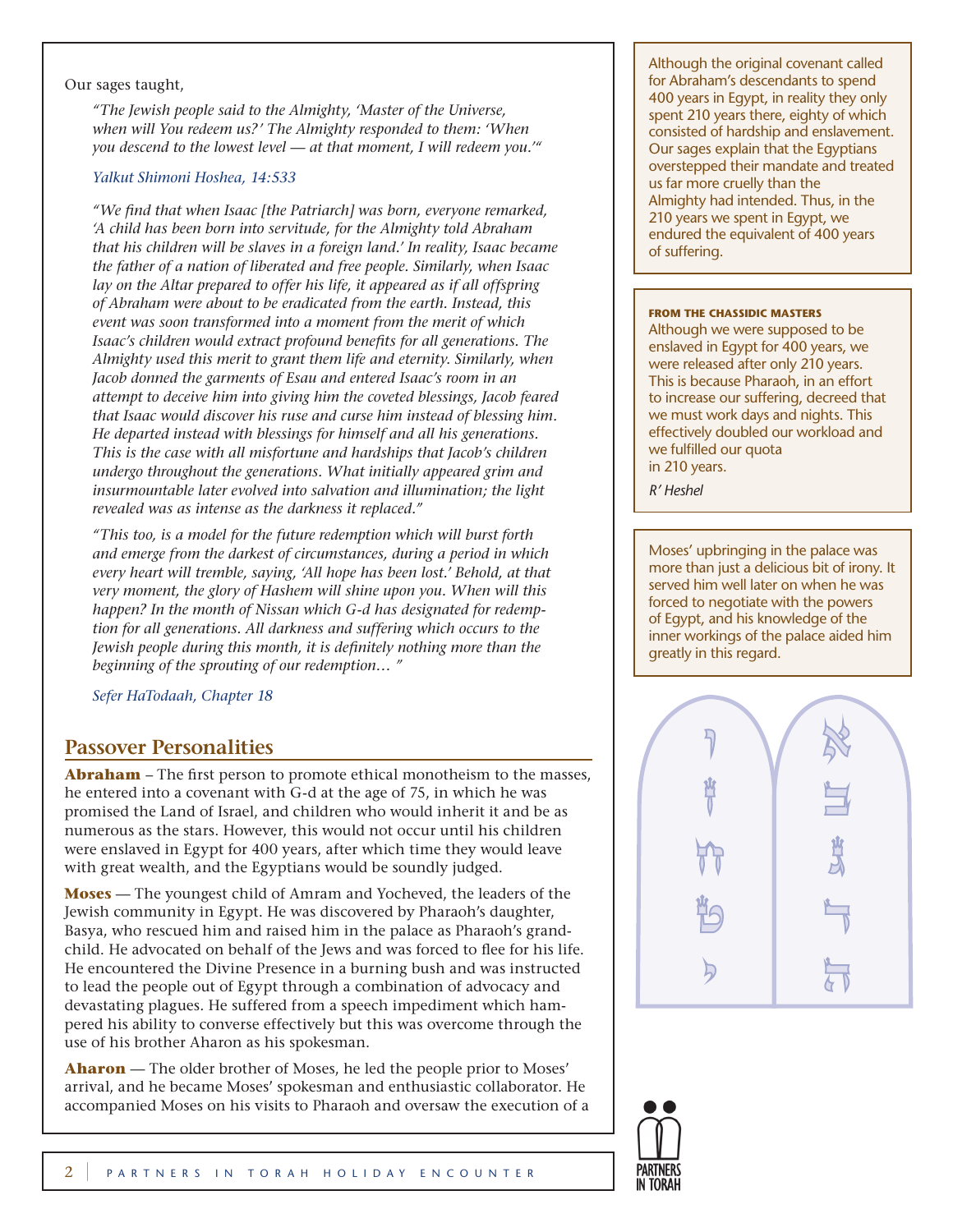#### Our sages taught,

*"The Jewish people said to the Almighty, 'Master of the Universe, when will You redeem us?' The Almighty responded to them: 'When you descend to the lowest level — at that moment, I will redeem you.'"*

### *Yalkut Shimoni Hoshea, 14:533*

*"We find that when Isaac [the Patriarch] was born, everyone remarked, 'A child has been born into servitude, for the Almighty told Abraham that his children will be slaves in a foreign land.' In reality, Isaac became the father of a nation of liberated and free people. Similarly, when Isaac*  lay on the Altar prepared to offer his life, it appeared as if all offspring *of Abraham were about to be eradicated from the earth. Instead, this event was soon transformed into a moment from the merit of which Isaac's children would extract profound benefits for all generations. The Almighty used this merit to grant them life and eternity. Similarly, when Jacob donned the garments of Esau and entered Isaac's room in an attempt to deceive him into giving him the coveted blessings, Jacob feared that Isaac would discover his ruse and curse him instead of blessing him. He departed instead with blessings for himself and all his generations. This is the case with all misfortune and hardships that Jacob's children undergo throughout the generations. What initially appeared grim and insurmountable later evolved into salvation and illumination; the light revealed was as intense as the darkness it replaced."*

*"This too, is a model for the future redemption which will burst forth and emerge from the darkest of circumstances, during a period in which every heart will tremble, saying, 'All hope has been lost.' Behold, at that very moment, the glory of Hashem will shine upon you. When will this happen? In the month of Nissan which G-d has designated for redemption for all generations. All darkness and suffering which occurs to the Jewish people during this month, it is definitely nothing more than the beginning of the sprouting of our redemption… "*

*Sefer HaTodaah, Chapter 18*

### **Passover Personalities**

**Abraham** – The first person to promote ethical monotheism to the masses, he entered into a covenant with G-d at the age of 75, in which he was promised the Land of Israel, and children who would inherit it and be as numerous as the stars. However, this would not occur until his children were enslaved in Egypt for 400 years, after which time they would leave with great wealth, and the Egyptians would be soundly judged.

**Moses** — The youngest child of Amram and Yocheved, the leaders of the Jewish community in Egypt. He was discovered by Pharaoh's daughter, Basya, who rescued him and raised him in the palace as Pharaoh's grandchild. He advocated on behalf of the Jews and was forced to flee for his life. He encountered the Divine Presence in a burning bush and was instructed to lead the people out of Egypt through a combination of advocacy and devastating plagues. He suffered from a speech impediment which hampered his ability to converse effectively but this was overcome through the use of his brother Aharon as his spokesman.

**Aharon** — The older brother of Moses, he led the people prior to Moses' arrival, and he became Moses' spokesman and enthusiastic collaborator. He accompanied Moses on his visits to Pharaoh and oversaw the execution of a Although the original covenant called for Abraham's descendants to spend 400 years in Egypt, in reality they only spent 210 years there, eighty of which consisted of hardship and enslavement. Our sages explain that the Egyptians overstepped their mandate and treated us far more cruelly than the Almighty had intended. Thus, in the 210 years we spent in Egypt, we endured the equivalent of 400 years of suffering.

#### **From the Chassidic Masters**

Although we were supposed to be enslaved in Egypt for 400 years, we were released after only 210 years. This is because Pharaoh, in an effort to increase our suffering, decreed that we must work days and nights. This effectively doubled our workload and we fulfilled our quota in 210 years.

*R' Heshel*

Moses' upbringing in the palace was more than just a delicious bit of irony. It served him well later on when he was forced to negotiate with the powers of Egypt, and his knowledge of the inner workings of the palace aided him greatly in this regard.



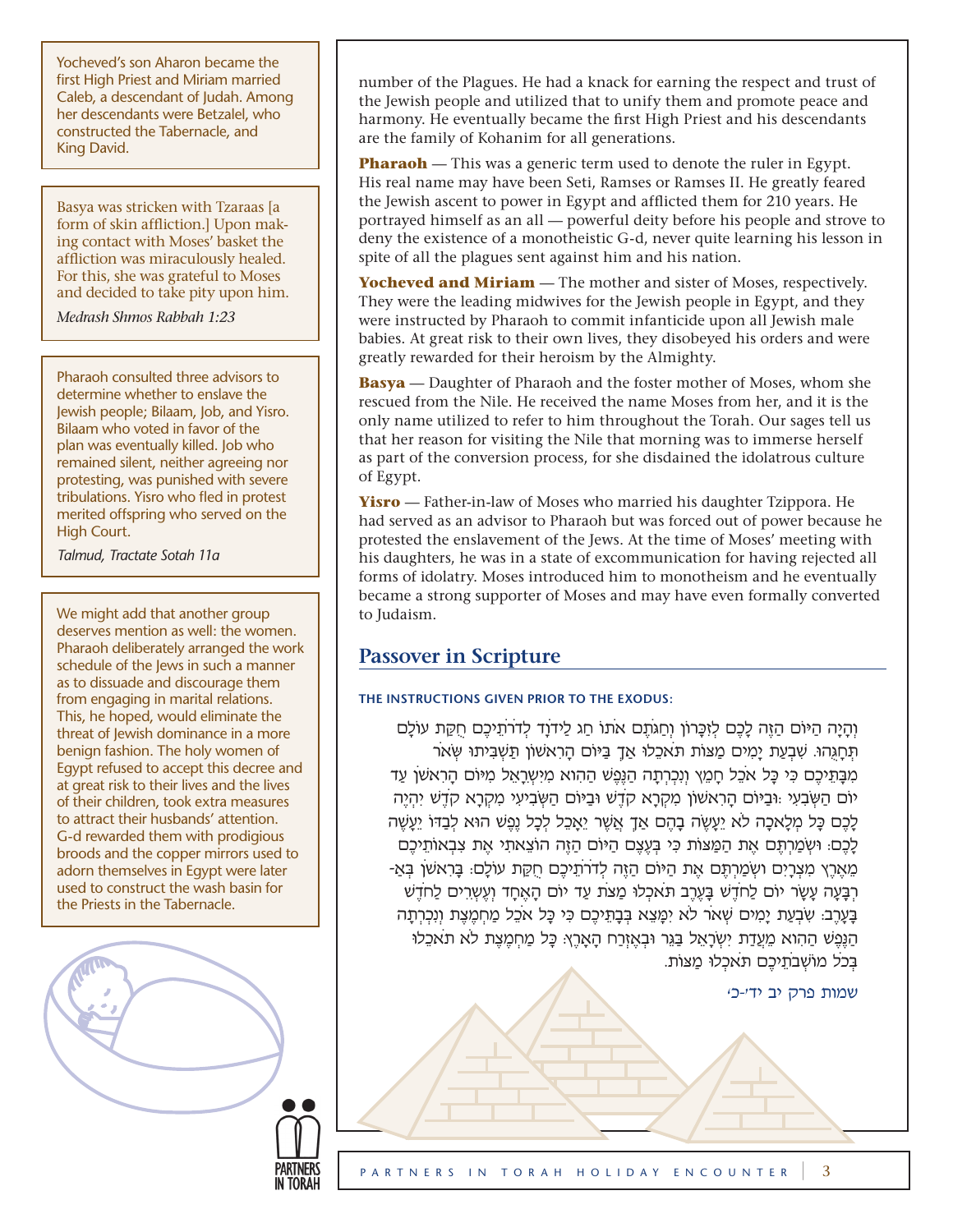Yocheved's son Aharon became the first High Priest and Miriam married Caleb, a descendant of Judah. Among her descendants were Betzalel, who constructed the Tabernacle, and King David.

Basya was stricken with Tzaraas [a form of skin affliction.] Upon making contact with Moses' basket the affliction was miraculously healed. For this, she was grateful to Moses and decided to take pity upon him.

*Medrash Shmos Rabbah 1:23*

Pharaoh consulted three advisors to determine whether to enslave the Jewish people; Bilaam, Job, and Yisro. Bilaam who voted in favor of the plan was eventually killed. Job who remained silent, neither agreeing nor protesting, was punished with severe tribulations. Yisro who fled in protest merited offspring who served on the High Court.

*Talmud, Tractate Sotah 11a*

We might add that another group deserves mention as well: the women. Pharaoh deliberately arranged the work schedule of the Jews in such a manner as to dissuade and discourage them from engaging in marital relations. This, he hoped, would eliminate the threat of Jewish dominance in a more benign fashion. The holy women of Egypt refused to accept this decree and at great risk to their lives and the lives of their children, took extra measures to attract their husbands' attention. G-d rewarded them with prodigious broods and the copper mirrors used to adorn themselves in Egypt were later used to construct the wash basin for the Priests in the Tabernacle.

number of the Plagues. He had a knack for earning the respect and trust of the Jewish people and utilized that to unify them and promote peace and harmony. He eventually became the first High Priest and his descendants are the family of Kohanim for all generations.

**Pharaoh** — This was a generic term used to denote the ruler in Egypt. His real name may have been Seti, Ramses or Ramses II. He greatly feared the Jewish ascent to power in Egypt and afflicted them for 210 years. He portrayed himself as an all — powerful deity before his people and strove to deny the existence of a monotheistic G-d, never quite learning his lesson in spite of all the plagues sent against him and his nation.

**Yocheved and Miriam** — The mother and sister of Moses, respectively. They were the leading midwives for the Jewish people in Egypt, and they were instructed by Pharaoh to commit infanticide upon all Jewish male babies. At great risk to their own lives, they disobeyed his orders and were greatly rewarded for their heroism by the Almighty.

**Basya** — Daughter of Pharaoh and the foster mother of Moses, whom she rescued from the Nile. He received the name Moses from her, and it is the only name utilized to refer to him throughout the Torah. Our sages tell us that her reason for visiting the Nile that morning was to immerse herself as part of the conversion process, for she disdained the idolatrous culture of Egypt.

**Yisro** — Father-in-law of Moses who married his daughter Tzippora. He had served as an advisor to Pharaoh but was forced out of power because he protested the enslavement of the Jews. At the time of Moses' meeting with his daughters, he was in a state of excommunication for having rejected all forms of idolatry. Moses introduced him to monotheism and he eventually became a strong supporter of Moses and may have even formally converted to Judaism.

# **Passover in Scripture**

## **The instructions given prior to the Exodus:**

וְהָיָה הַיּוֹם הַזֶּה לָכֶם לְזִכָּרוֹן וְחַגֹּתֵם אֹתוֹ חַג לַידֹוַד לְדֹרֹתֵיכֶם חַקֵּת עוֹלַם תְּחֲגְהוּ. שְׁבְעַת יַמְים מַצּוֹת תֹּאכֶלוּ אַךְ בַּיּוֹם הַרְאשׁוֹן תַּשְׁבִּיתוּ שָׂאֹר מִבָּתֵיכֶם כִּי כָּל אֹכֵל חָמֵץ וְנִכְרְתָה הַנֵּפֵ<sup>ְ</sup>שׁ הַהִוא מִיִּשְרַאֵל מִיּוֹם הַרִאשׁן עַד יֹום הַשְּׂבִעִי ּ:ובַּיֹום הָרִאׁשֹון מִקְרָא קֹדֶׁש ּובַּיֹום הַשְּׂבִיעִי מִקְרָא קֹדֶׁש יִהְיֶה לָכֶם כָּל מְלָאכָה לֹא יֵעֲשֶׂה בָהֶם אַךָ אֲשֶׁר יֵאֲכֶל לְכָל נֶפֶשׁ הוּא לְבָדּוֹ יֵעֲשֶׁה ַלְּכֶם: וּשְׂמַרְתֶּם אֶת הַמַּצוֹת כִּי בְּעֵצֶם הַיּוֹם הַזֶּה הוֹצֵאתִי אֶת צִבְאוֹתֵיכֶם ְמֵאֶרֶץ מִצְרַיִם ושְׂמַרְתֶּם אֶת הַיּוֹם הַזֶּה לְדֹרֹתֵיכֶם חַקָּת עוֹלָם: בַּרְאשׁן בְּאַ-רִבְעָה עָשֶׂר יוֹם לַחֹדָש בַּעְרֹב תֹּאכְלוּ מַצַּת עִד יוֹם הָאחד וְעָשְׁרִים לַחֹדָשִׁ בָּעֲרֶב: שְׁבְעַת יַמִים שְׁאֹר לֹא יִמֲעֵא בְּבָתֵיכֶם כִּי כָּל אֹכֶל מַחְמֶצֶת וְנִכְרְתַה הַנֶּפֶּשׁ הַהִוא מֵעֲדַת יִשְׂרָאֵל בַּגֵּר וּבְאֶזְרַח הָאָרֶץ: כָּל מַחְמֶצֶת לֹא תֹאכֵלוּ בִּכֹל מוֹשְׁבֹתֵיכֶם תֹּאכְלוּ מַצּוֹת.

שמות פרק יב יד'-כ'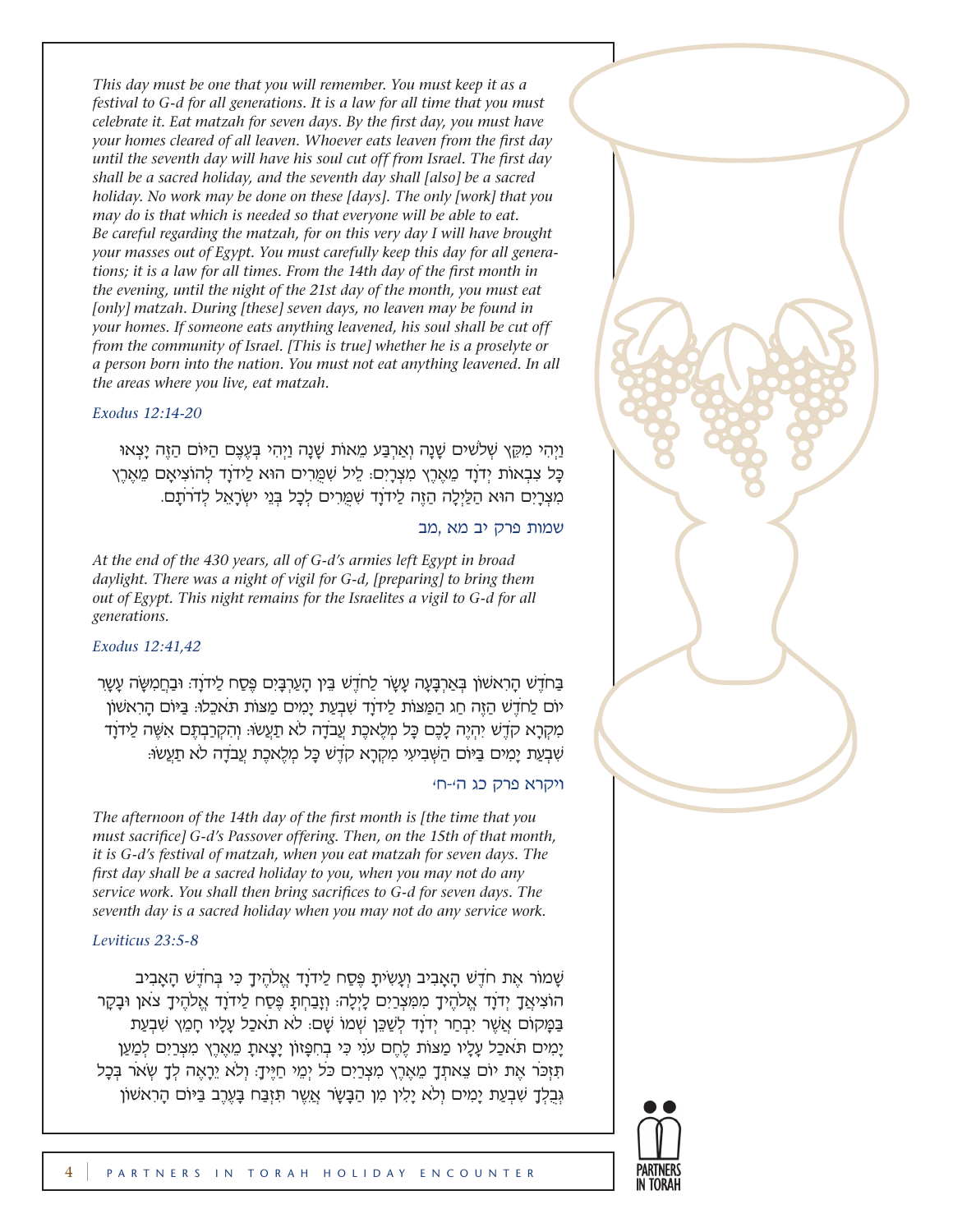*This day must be one that you will remember. You must keep it as a festival to G-d for all generations. It is a law for all time that you must celebrate it. Eat matzah for seven days. By the first day, you must have your homes cleared of all leaven. Whoever eats leaven from the first day until the seventh day will have his soul cut off from Israel. The first day shall be a sacred holiday, and the seventh day shall [also] be a sacred holiday. No work may be done on these [days]. The only [work] that you may do is that which is needed so that everyone will be able to eat. Be careful regarding the matzah, for on this very day I will have brought your masses out of Egypt. You must carefully keep this day for all generations; it is a law for all times. From the 14th day of the first month in the evening, until the night of the 21st day of the month, you must eat*  [only] matzah. During [these] seven days, no leaven may be found in *your homes. If someone eats anything leavened, his soul shall be cut off from the community of Israel. [This is true] whether he is a proselyte or a person born into the nation. You must not eat anything leavened. In all the areas where you live, eat matzah.* 

#### *Exodus 12:14-20*

וַיְהִי מִקֶּץ שָׁלֹשׁים שָׁנָה וְאַרְבַּע מֵאוֹת שָׁנֵה וַיְהִי בְּעֶצֶם הַיּוֹם הַזֶּה יַצְאוּ כַּל צִבְאוֹת יְדֹוַד מֵאֶרֶץ מִצְרַיִם: לֵיל שִׁמֵּרִים הוּא לַידוַד לְהוֹצִיאַם מֵאֶרֵץ מִצְרַיִם הוּא הַלַּיְלָה הַזֶּה לַידֹוַד שִׁמַּרִים לְכָל בְּנֵי ישְׂרָאֵל לְדֹרֹתֵם.

### שמות פרק יב מא ,מב

*At the end of the 430 years, all of G-d's armies left Egypt in broad daylight. There was a night of vigil for G-d, [preparing] to bring them out of Egypt. This night remains for the Israelites a vigil to G-d for all generations.*

### *Exodus 12:41,42*

בַּחֹדֵשׁ הָרָאשׁוֹן בְּאַרְבָּעָה עָשָׂר לַחֹדֶשׁ בֵּין הָעַרְבָּיִם פֵּסַח לַידֹוָד: וּבַחֲמִשָּׂה עָשָׂר יֹום לַחֹדֶׁש הַזֶּה חַג הַמַּ ּצֹות לַידֹוָד שִׁבְעַת יָמִים מַּצֹות תֹּ אכֵלּו: בַּ ּיֹום הָרִאׁשֹון מִקְרָא קֹדֶׁש יִהְיֶה לָכֶם כָּ ל מְלֶאכֶת עֲבֹדָה לֹא תַעֲׂשּו: וְהִקְרַבְתֶּ ם אִשֶּׁה לַידֹוָד שִׁבְעַת יָמִים בַּ ּיֹום הַשְּׁבִיעִי מִקְרָא קֹדֶׁש כָּ ל מְלֶאכֶת עֲבֹדָה לֹא תַעֲׂשּו:

### ויקרא פרק כג ה'-ח'

*The afternoon of the 14th day of the first month is [the time that you must sacrifice] G-d's Passover offering. Then, on the 15th of that month, it is G-d's festival of matzah, when you eat matzah for seven days. The first day shall be a sacred holiday to you, when you may not do any service work. You shall then bring sacrifices to G-d for seven days. The seventh day is a sacred holiday when you may not do any service work.* 

#### *Leviticus 23:5-8*

שָׁמֹור אֶת חֹדֶׁש הָאָבִיב וְעָשִׂיתָ פֶּ סַח לַידֹוָד אֱלֹהֶיךָ כִּ י בְּ חֹדֶׁש הָאָבִיב הֹוצִיאֲךָ יְדֹוָד אֱלֹהֶיךָ מִמִּ צְרַיִם לָיְלָה: וְזָבַחְתָּ פֶּ סַח לַידֹוָד אֱלֹהֶיךָ צֹאן ּובָקָר בַּמַּקוֹם אֲשֶׁר יִבְחַר יְדֹוַד לְשַׁכֵּן שְׁמוֹ שֵׁם: לֹא תֹאכַל עַלָיו חַמֵּץ שְׁבְעַת ַיָּמִים תֹּאכָל עַלָיו מַצּוֹת לֶחֱם עֹנִי כִּי בְחִפָּזוֹן יַצָּאתָ מֵאֶרֵץ מִצְרַיִם לְמַעַן תִּ זִכְּר אֶת יוֹם צֵאתְךָ מֵאֶרֶץ מִצְרַיִם כֹּל יְמֵי חַיֵּיךָ: וְלֹא יֵרָאֶה לְךָ שְׂאֹר בְּכָל גְּבָלְךָ שִׁבְעַת יָמִים וְלֹא יָלִין מִן הַבָּשָׂר אֲשֶׁר תִּזְבַּח בָּעֶרֶב בַּיּוֹם הָרִאשׁוֹן

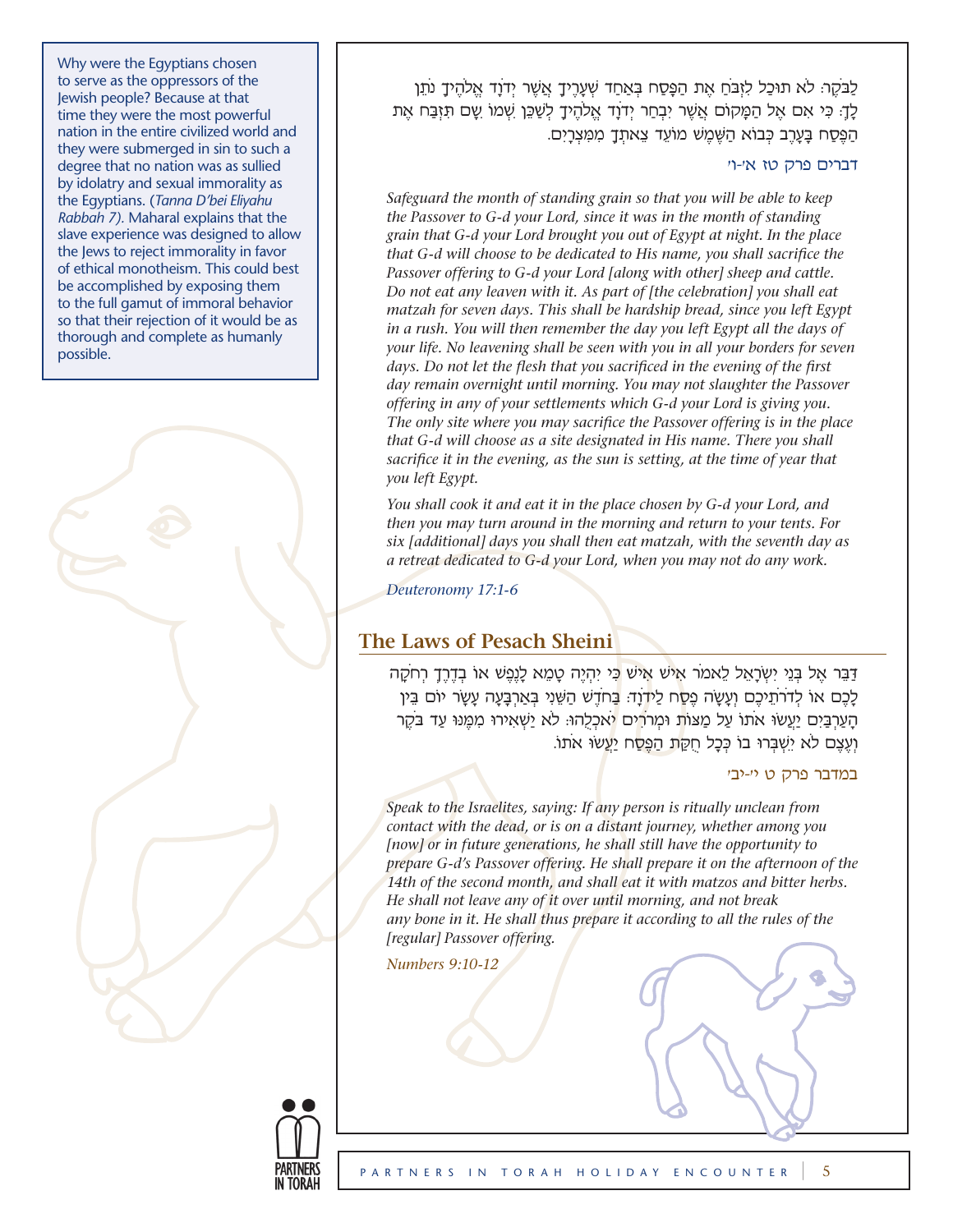Why were the Egyptians chosen to serve as the oppressors of the Jewish people? Because at that time they were the most powerful nation in the entire civilized world and they were submerged in sin to such a degree that no nation was as sullied by idolatry and sexual immorality as the Egyptians. (*Tanna D'bei Eliyahu Rabbah 7).* Maharal explains that the slave experience was designed to allow the Jews to reject immorality in favor of ethical monotheism. This could best be accomplished by exposing them to the full gamut of immoral behavior so that their rejection of it would be as thorough and complete as humanly possible.

לַבֹּקֶר: לֹא תוּכַל לִזְבֹּחַ אֶת הַפָּסַח בְּאַחַד שְׁעָרֶיךָ אֲשֶׁר יְדֹוָד אֱלֹהֶיךָ נֹתֵן ֿלַךָ: כִּי אִם אֵל הַמָּקוֹם אֲשֵׁר יִבְחַר יְדֹוָד אֱלֹהֶיךָ לְשַׁכֵּן שְׁמוֹ שֶׁם תִּזְבַּח אֶת הַפֵּסַח בָּעָרֶב כְּבוֹא הַשֵּׁמֵשׁ מוֹעֵד צֵאתְךָ מִמְּצְרָיִם.

#### דברים פרק טז א'-ו'

*Safeguard the month of standing grain so that you will be able to keep the Passover to G-d your Lord, since it was in the month of standing grain that G-d your Lord brought you out of Egypt at night. In the place that G-d will choose to be dedicated to His name, you shall sacrifice the Passover offering to G-d your Lord [along with other] sheep and cattle. Do not eat any leaven with it. As part of [the celebration] you shall eat matzah for seven days. This shall be hardship bread, since you left Egypt in a rush. You will then remember the day you left Egypt all the days of your life. No leavening shall be seen with you in all your borders for seven days. Do not let the flesh that you sacrificed in the evening of the first day remain overnight until morning. You may not slaughter the Passover offering in any of your settlements which G-d your Lord is giving you. The only site where you may sacrifice the Passover offering is in the place that G-d will choose as a site designated in His name. There you shall sacrifice it in the evening, as the sun is setting, at the time of year that you left Egypt.*

*You shall cook it and eat it in the place chosen by G-d your Lord, and then you may turn around in the morning and return to your tents. For six [additional] days you shall then eat matzah, with the seventh day as a retreat dedicated to G-d your Lord, when you may not do any work.* 

*Deuteronomy 17:1-6*

### **The Laws of Pesach Sheini**

דַּבֵּר אֶל בְּנֵי יִשְׂרָאֵל לֵאמֹר אִי<sup>ּנֹ</sup>ש אֵישׁ כִּי יִהְיֶה טַמֵא לַנֵפֶּשׁ או בְדֶרֶךָ רְחֹקָה לָכֶם או לְדֹרְתֵיכֶם וְעָשָׂה פֶסָח לַידֹוַד: בַּחֹדֵשׁ הַשֵּׁנִי בְּאַרְבַּעָה עַשָּׂר יוֹם בֵּין הַעַרְבַּיִם יַעֲשוּ אֹתו עַל מַצּוֹת וּמִרֹרִים יֹאכְלָהוּ: לֹא יַשְׁאִירוּ מִמֶּנוּ עַד בֹּקֶר וְעֶצֶם לֹא יִשְׁבְּרוּ בוֹ כְּכָל חֻקַּת הַפֶּ**סַ**ח יַעֲשׂוּ אֹתוֹ.

#### במדבר פרק ט י׳-יב׳

*Speak to the Israelites, saying: If any person is ritually unclean from contact with the dead, or is on a distant journey, whether among you [now] or in future generations, he shall still have the opportunity to prepare G-d's Passover offering. He shall prepare it on the afternoon of the 14th of the second month, and shall eat it with matzos and bitter herbs. He shall not leave any of it over until morning, and not break*  any bone in it. He shall thus prepare it according to all the rules of the *[regular] Passover offering.* 

*Numbers 9:10-12*

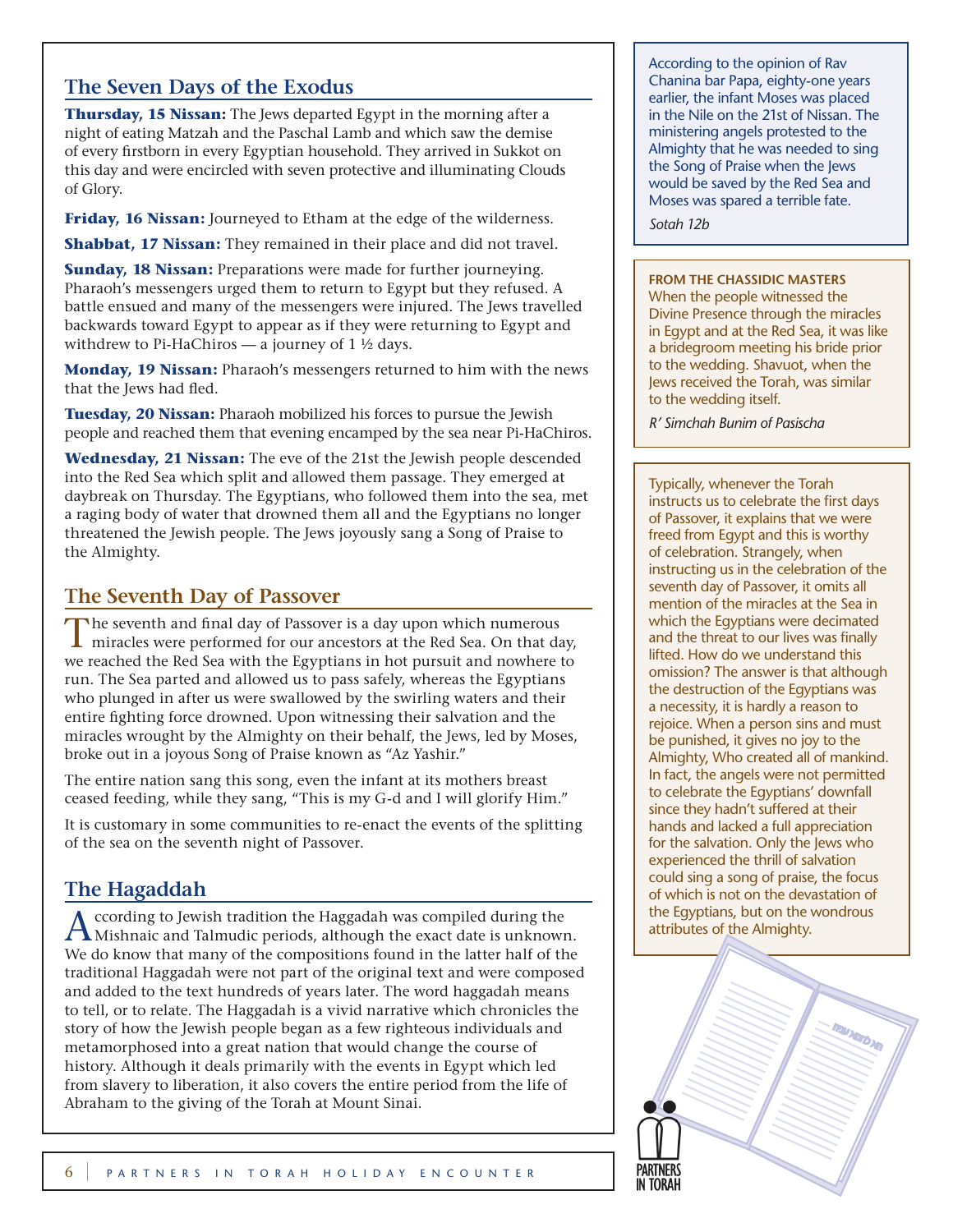## **The Seven Days of the Exodus**

**Thursday, 15 Nissan:** The Jews departed Egypt in the morning after a night of eating Matzah and the Paschal Lamb and which saw the demise of every firstborn in every Egyptian household. They arrived in Sukkot on this day and were encircled with seven protective and illuminating Clouds of Glory.

**Friday, 16 Nissan:** Journeyed to Etham at the edge of the wilderness.

**Shabbat, 17 Nissan:** They remained in their place and did not travel.

**Sunday, 18 Nissan:** Preparations were made for further journeying. Pharaoh's messengers urged them to return to Egypt but they refused. A battle ensued and many of the messengers were injured. The Jews travelled backwards toward Egypt to appear as if they were returning to Egypt and withdrew to Pi-HaChiros — a journey of  $1 \frac{1}{2}$  days.

**Monday, 19 Nissan:** Pharaoh's messengers returned to him with the news that the Jews had fled.

**Tuesday, 20 Nissan:** Pharaoh mobilized his forces to pursue the Jewish people and reached them that evening encamped by the sea near Pi-HaChiros.

**Wednesday, 21 Nissan:** The eve of the 21st the Jewish people descended into the Red Sea which split and allowed them passage. They emerged at daybreak on Thursday. The Egyptians, who followed them into the sea, met a raging body of water that drowned them all and the Egyptians no longer threatened the Jewish people. The Jews joyously sang a Song of Praise to the Almighty.

## **The Seventh Day of Passover**

The seventh and final day of Passover is a day upon which numerous miracles were performed for our ancestors at the Red Sea. On that day, we reached the Red Sea with the Egyptians in hot pursuit and nowhere to run. The Sea parted and allowed us to pass safely, whereas the Egyptians who plunged in after us were swallowed by the swirling waters and their entire fighting force drowned. Upon witnessing their salvation and the miracles wrought by the Almighty on their behalf, the Jews, led by Moses, broke out in a joyous Song of Praise known as "Az Yashir."

The entire nation sang this song, even the infant at its mothers breast ceased feeding, while they sang, "This is my G-d and I will glorify Him."

It is customary in some communities to re-enact the events of the splitting of the sea on the seventh night of Passover.

## **The Hagaddah**

ccording to Jewish tradition the Haggadah was compiled during the Mishnaic and Talmudic periods, although the exact date is unknown. We do know that many of the compositions found in the latter half of the traditional Haggadah were not part of the original text and were composed and added to the text hundreds of years later. The word haggadah means to tell, or to relate. The Haggadah is a vivid narrative which chronicles the story of how the Jewish people began as a few righteous individuals and metamorphosed into a great nation that would change the course of history. Although it deals primarily with the events in Egypt which led from slavery to liberation, it also covers the entire period from the life of Abraham to the giving of the Torah at Mount Sinai.

According to the opinion of Rav Chanina bar Papa, eighty-one years earlier, the infant Moses was placed in the Nile on the 21st of Nissan. The ministering angels protested to the Almighty that he was needed to sing the Song of Praise when the Jews would be saved by the Red Sea and Moses was spared a terrible fate.

*Sotah 12b*

#### **From the Chassidic Masters**

When the people witnessed the Divine Presence through the miracles in Egypt and at the Red Sea, it was like a bridegroom meeting his bride prior to the wedding. Shavuot, when the Jews received the Torah, was similar to the wedding itself.

*R' Simchah Bunim of Pasischa*

Typically, whenever the Torah instructs us to celebrate the first days of Passover, it explains that we were freed from Egypt and this is worthy of celebration. Strangely, when instructing us in the celebration of the seventh day of Passover, it omits all mention of the miracles at the Sea in which the Egyptians were decimated and the threat to our lives was finally lifted. How do we understand this omission? The answer is that although the destruction of the Egyptians was a necessity, it is hardly a reason to rejoice. When a person sins and must be punished, it gives no joy to the Almighty, Who created all of mankind. In fact, the angels were not permitted to celebrate the Egyptians' downfall since they hadn't suffered at their hands and lacked a full appreciation for the salvation. Only the Jews who experienced the thrill of salvation could sing a song of praise, the focus of which is not on the devastation of the Egyptians, but on the wondrous attributes of the Almighty.

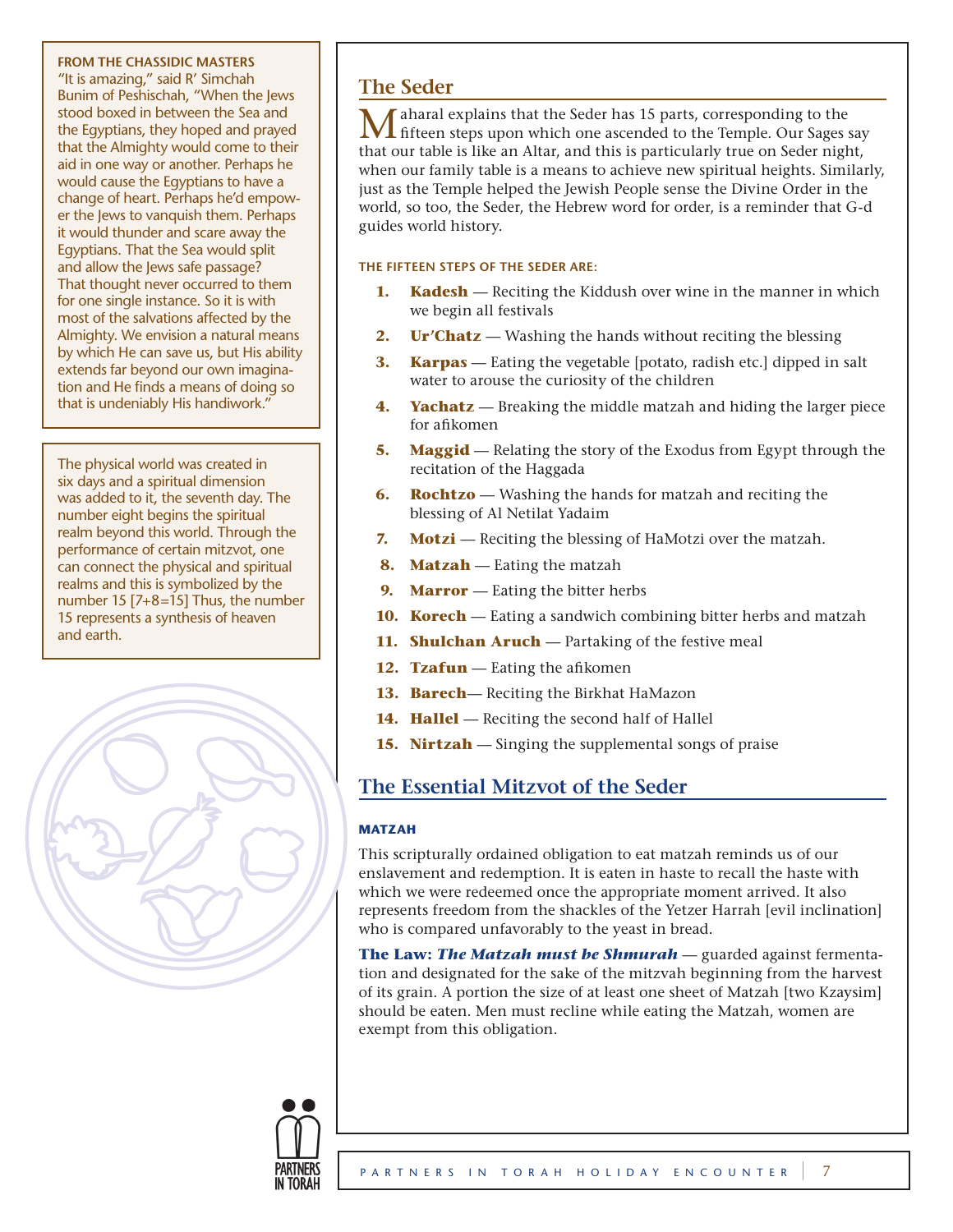#### **From The Chassidic Masters**

"It is amazing," said R' Simchah Bunim of Peshischah, "When the Jews stood boxed in between the Sea and the Egyptians, they hoped and prayed that the Almighty would come to their aid in one way or another. Perhaps he would cause the Egyptians to have a change of heart. Perhaps he'd empower the Jews to vanquish them. Perhaps it would thunder and scare away the Egyptians. That the Sea would split and allow the Jews safe passage? That thought never occurred to them for one single instance. So it is with most of the salvations affected by the Almighty. We envision a natural means by which He can save us, but His ability extends far beyond our own imagination and He finds a means of doing so that is undeniably His handiwork."

The physical world was created in six days and a spiritual dimension was added to it, the seventh day. The number eight begins the spiritual realm beyond this world. Through the performance of certain mitzvot, one can connect the physical and spiritual realms and this is symbolized by the number 15 [7+8=15] Thus, the number 15 represents a synthesis of heaven and earth.



## **The Seder**

Maharal explains that the Seder has 15 parts, corresponding to the fifteen steps upon which one ascended to the Temple. Our Sages say that our table is like an Altar, and this is particularly true on Seder night, when our family table is a means to achieve new spiritual heights. Similarly, just as the Temple helped the Jewish People sense the Divine Order in the world, so too, the Seder, the Hebrew word for order, is a reminder that G-d guides world history.

### **The fifteen steps of the Seder are:**

- **1. Kadesh** Reciting the Kiddush over wine in the manner in which we begin all festivals
- **2. Ur'Chatz** Washing the hands without reciting the blessing
- **3. Karpas** Eating the vegetable [potato, radish etc.] dipped in salt water to arouse the curiosity of the children
- **4. Yachatz** Breaking the middle matzah and hiding the larger piece for afikomen
- **5.** Maggid Relating the story of the Exodus from Egypt through the recitation of the Haggada
- **6. Rochtzo** Washing the hands for matzah and reciting the blessing of Al Netilat Yadaim
- **7.** Motzi Reciting the blessing of HaMotzi over the matzah.
- **8. Matzah** Eating the matzah
- **9.** Marror Eating the bitter herbs
- **10. Korech** Eating a sandwich combining bitter herbs and matzah
- **11. Shulchan Aruch** Partaking of the festive meal
- **12. Tzafun** Eating the afikomen
- **13. Barech** Reciting the Birkhat HaMazon
- 14. Hallel Reciting the second half of Hallel
- **15. Nirtzah** Singing the supplemental songs of praise

## **The Essential Mitzvot of the Seder**

### **Matzah**

This scripturally ordained obligation to eat matzah reminds us of our enslavement and redemption. It is eaten in haste to recall the haste with which we were redeemed once the appropriate moment arrived. It also represents freedom from the shackles of the Yetzer Harrah [evil inclination] who is compared unfavorably to the yeast in bread.

**The Law:** *The Matzah must be Shmurah* — guarded against fermentation and designated for the sake of the mitzvah beginning from the harvest of its grain. A portion the size of at least one sheet of Matzah [two Kzaysim] should be eaten. Men must recline while eating the Matzah, women are exempt from this obligation.

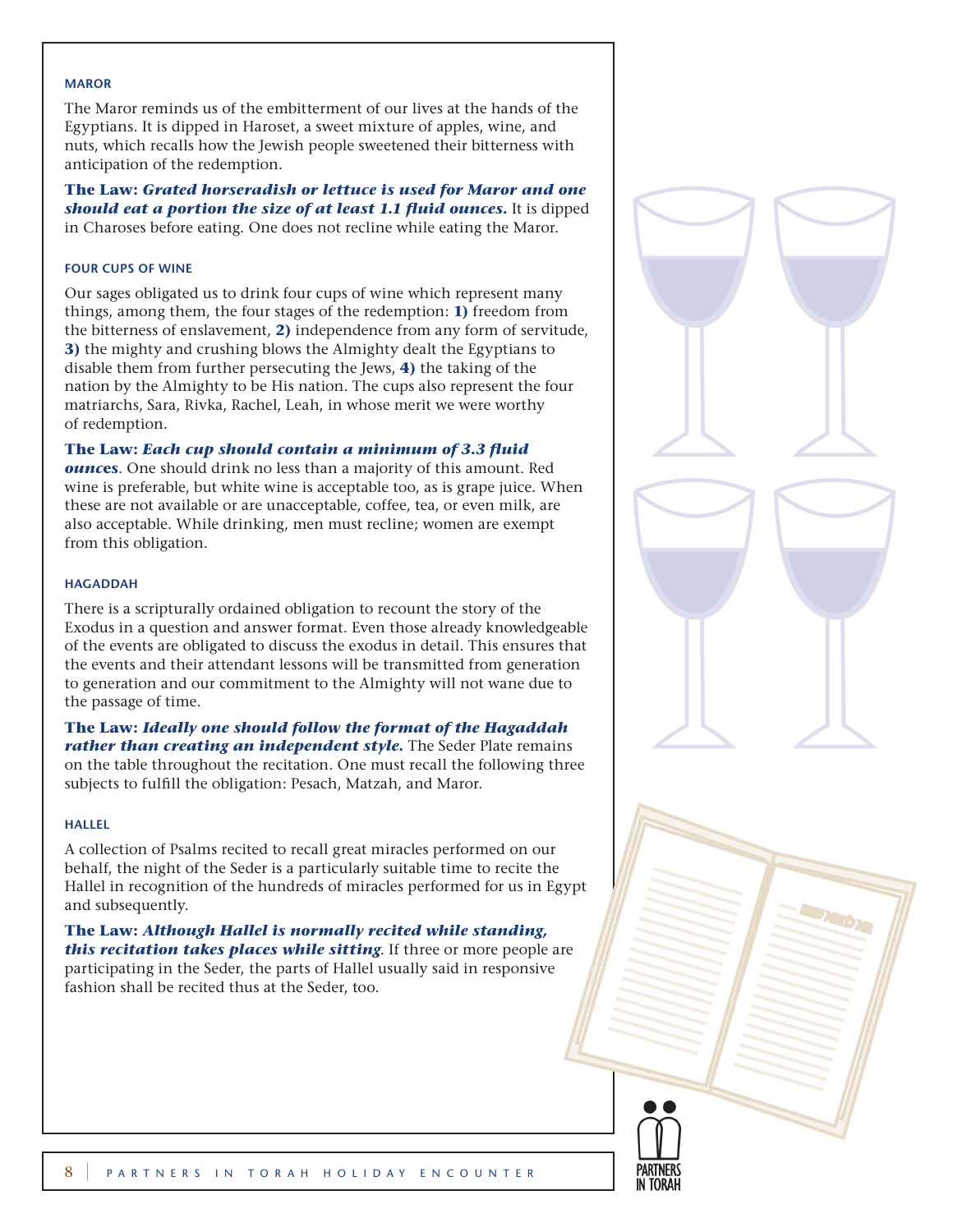#### **Maror**

The Maror reminds us of the embitterment of our lives at the hands of the Egyptians. It is dipped in Haroset, a sweet mixture of apples, wine, and nuts, which recalls how the Jewish people sweetened their bitterness with anticipation of the redemption.

**The Law:** *Grated horseradish or lettuce is used for Maror and one should eat a portion the size of at least 1.1 fluid ounces.* It is dipped in Charoses before eating. One does not recline while eating the Maror.

#### **Four Cups of Wine**

Our sages obligated us to drink four cups of wine which represent many things, among them, the four stages of the redemption: **1)** freedom from the bitterness of enslavement, **2)** independence from any form of servitude, **3)** the mighty and crushing blows the Almighty dealt the Egyptians to disable them from further persecuting the Jews, **4)** the taking of the nation by the Almighty to be His nation. The cups also represent the four matriarchs, Sara, Rivka, Rachel, Leah, in whose merit we were worthy of redemption.

#### **The Law:** *Each cup should contain a minimum of 3.3 fluid*

*ounc***es**. One should drink no less than a majority of this amount. Red wine is preferable, but white wine is acceptable too, as is grape juice. When these are not available or are unacceptable, coffee, tea, or even milk, are also acceptable. While drinking, men must recline; women are exempt from this obligation.

#### **Hagaddah**

There is a scripturally ordained obligation to recount the story of the Exodus in a question and answer format. Even those already knowledgeable of the events are obligated to discuss the exodus in detail. This ensures that the events and their attendant lessons will be transmitted from generation to generation and our commitment to the Almighty will not wane due to the passage of time.

**The Law:** *Ideally one should follow the format of the Hagaddah rather than creating an independent style.* The Seder Plate remains on the table throughout the recitation. One must recall the following three subjects to fulfill the obligation: Pesach, Matzah, and Maror.

#### **Hallel**

A collection of Psalms recited to recall great miracles performed on our behalf, the night of the Seder is a particularly suitable time to recite the Hallel in recognition of the hundreds of miracles performed for us in Egypt and subsequently.

**The Law:** *Although Hallel is normally recited while standing, this recitation takes places while sitting*. If three or more people are participating in the Seder, the parts of Hallel usually said in responsive fashion shall be recited thus at the Seder, too.



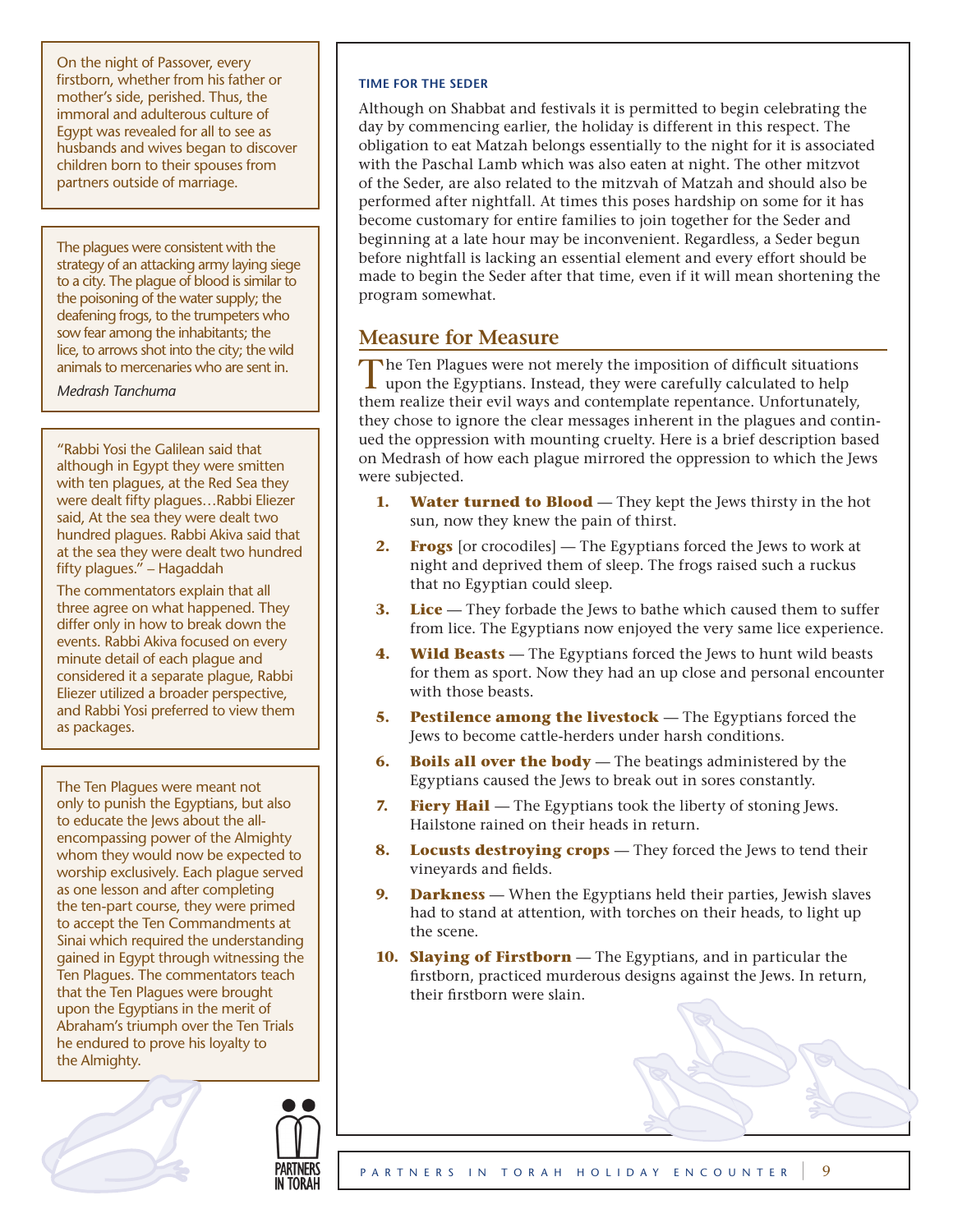On the night of Passover, every firstborn, whether from his father or mother's side, perished. Thus, the immoral and adulterous culture of Egypt was revealed for all to see as husbands and wives began to discover children born to their spouses from partners outside of marriage.

The plagues were consistent with the strategy of an attacking army laying siege to a city. The plague of blood is similar to the poisoning of the water supply; the deafening frogs, to the trumpeters who sow fear among the inhabitants; the lice, to arrows shot into the city; the wild animals to mercenaries who are sent in.

*Medrash Tanchuma*

"Rabbi Yosi the Galilean said that although in Egypt they were smitten with ten plagues, at the Red Sea they were dealt fifty plagues…Rabbi Eliezer said, At the sea they were dealt two hundred plagues. Rabbi Akiva said that at the sea they were dealt two hundred fifty plagues." – Hagaddah

The commentators explain that all three agree on what happened. They differ only in how to break down the events. Rabbi Akiva focused on every minute detail of each plague and considered it a separate plague, Rabbi Eliezer utilized a broader perspective, and Rabbi Yosi preferred to view them as packages.

The Ten Plagues were meant not only to punish the Egyptians, but also to educate the Jews about the allencompassing power of the Almighty whom they would now be expected to worship exclusively. Each plague served as one lesson and after completing the ten-part course, they were primed to accept the Ten Commandments at Sinai which required the understanding gained in Egypt through witnessing the Ten Plagues. The commentators teach that the Ten Plagues were brought upon the Egyptians in the merit of Abraham's triumph over the Ten Trials he endured to prove his loyalty to the Almighty.



Although on Shabbat and festivals it is permitted to begin celebrating the day by commencing earlier, the holiday is different in this respect. The obligation to eat Matzah belongs essentially to the night for it is associated with the Paschal Lamb which was also eaten at night. The other mitzvot of the Seder, are also related to the mitzvah of Matzah and should also be performed after nightfall. At times this poses hardship on some for it has become customary for entire families to join together for the Seder and beginning at a late hour may be inconvenient. Regardless, a Seder begun before nightfall is lacking an essential element and every effort should be made to begin the Seder after that time, even if it will mean shortening the program somewhat.

## **Measure for Measure**

The Ten Plagues were not merely the imposition of difficult situations upon the Egyptians. Instead, they were carefully calculated to help them realize their evil ways and contemplate repentance. Unfortunately, they chose to ignore the clear messages inherent in the plagues and continued the oppression with mounting cruelty. Here is a brief description based on Medrash of how each plague mirrored the oppression to which the Jews were subjected.

- **1.** Water turned to Blood They kept the Jews thirsty in the hot sun, now they knew the pain of thirst.
- **2. Frogs** [or crocodiles] The Egyptians forced the Jews to work at night and deprived them of sleep. The frogs raised such a ruckus that no Egyptian could sleep.
- **3.** Lice They forbade the Jews to bathe which caused them to suffer from lice. The Egyptians now enjoyed the very same lice experience.
- **4. Wild Beasts** The Egyptians forced the Jews to hunt wild beasts for them as sport. Now they had an up close and personal encounter with those beasts.
- **5.** Pestilence among the livestock The Egyptians forced the Jews to become cattle-herders under harsh conditions.
- **6. Boils all over the body** The beatings administered by the Egyptians caused the Jews to break out in sores constantly.
- **7. Fiery Hail** The Egyptians took the liberty of stoning Jews. Hailstone rained on their heads in return.
- **8.** Locusts destroving crops They forced the Jews to tend their vineyards and fields.
- **9. Darkness** When the Egyptians held their parties, Jewish slaves had to stand at attention, with torches on their heads, to light up the scene.
- **10. Slaying of Firstborn** The Egyptians, and in particular the firstborn, practiced murderous designs against the Jews. In return, their firstborn were slain.



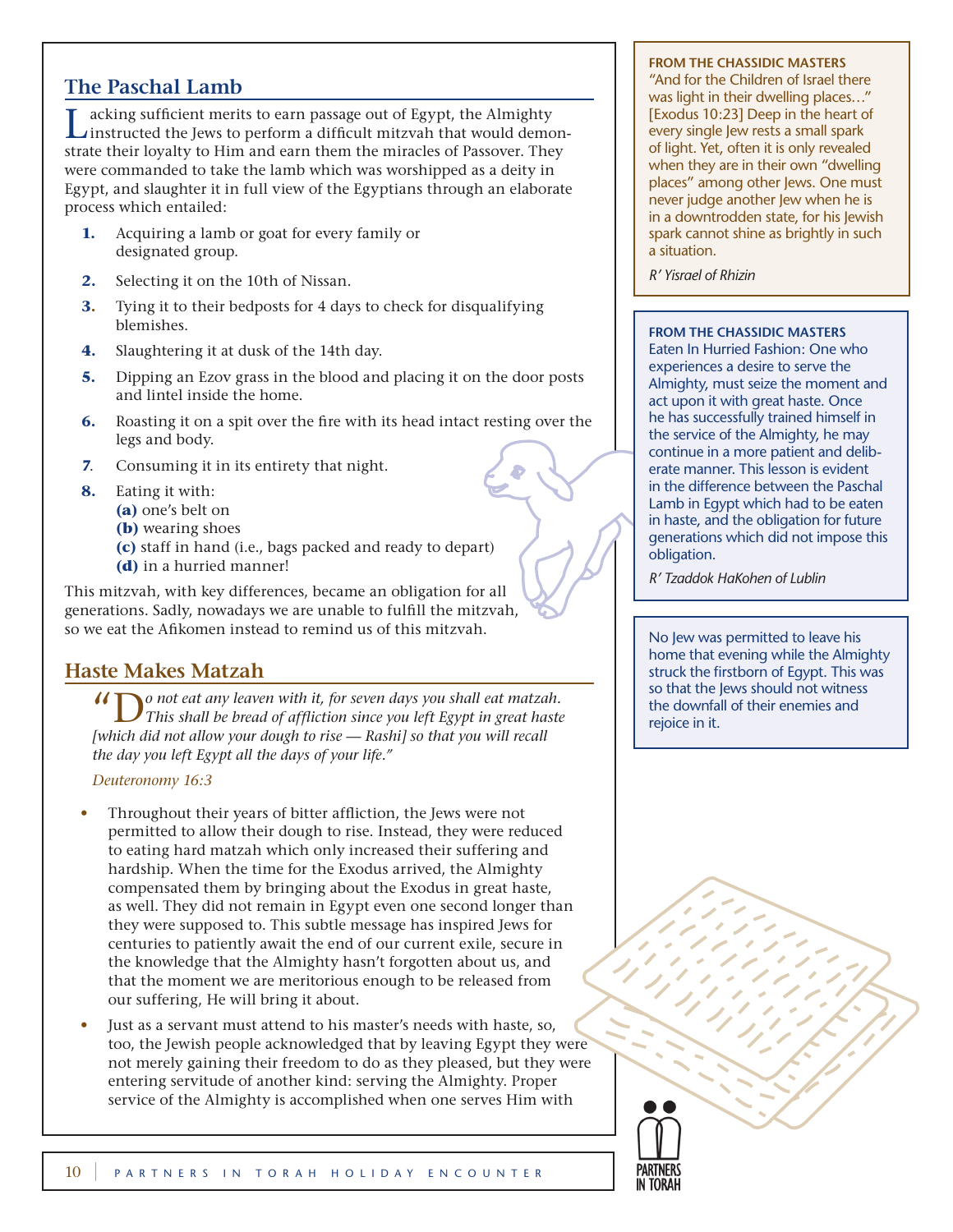## **The Paschal Lamb**

Lacking sufficient merits to earn passage out of Egypt, the Almighty instructed the Jews to perform a difficult mitzvah that would demonstrate their loyalty to Him and earn them the miracles of Passover. They were commanded to take the lamb which was worshipped as a deity in Egypt, and slaughter it in full view of the Egyptians through an elaborate process which entailed:

- **1.** Acquiring a lamb or goat for every family or designated group.
- **2.** Selecting it on the 10th of Nissan.
- **3.** Tying it to their bedposts for 4 days to check for disqualifying blemishes.
- **4.** Slaughtering it at dusk of the 14th day.
- **5.** Dipping an Ezov grass in the blood and placing it on the door posts and lintel inside the home.
- **6.** Roasting it on a spit over the fire with its head intact resting over the legs and body.
- **7**. Consuming it in its entirety that night.
- **8.** Eating it with:
	- **(a)** one's belt on
	- **(b)** wearing shoes
	- **(c)** staff in hand (i.e., bags packed and ready to depart)
	- **(d)** in a hurried manner!

This mitzvah, with key differences, became an obligation for all generations. Sadly, nowadays we are unable to fulfill the mitzvah, so we eat the Afikomen instead to remind us of this mitzvah.

## **Haste Makes Matzah**

"D*o not eat any leaven with it, for seven days you shall eat matzah. This shall be bread of affliction since you left Egypt in great haste [which did not allow your dough to rise — Rashi] so that you will recall the day you left Egypt all the days of your life."* 

### *Deuteronomy 16:3*

- *•* Throughout their years of bitter affliction, the Jews were not permitted to allow their dough to rise. Instead, they were reduced to eating hard matzah which only increased their suffering and hardship. When the time for the Exodus arrived, the Almighty compensated them by bringing about the Exodus in great haste, as well. They did not remain in Egypt even one second longer than they were supposed to. This subtle message has inspired Jews for centuries to patiently await the end of our current exile, secure in the knowledge that the Almighty hasn't forgotten about us, and that the moment we are meritorious enough to be released from our suffering, He will bring it about.
- *•* Just as a servant must attend to his master's needs with haste, so, too, the Jewish people acknowledged that by leaving Egypt they were not merely gaining their freedom to do as they pleased, but they were entering servitude of another kind: serving the Almighty. Proper service of the Almighty is accomplished when one serves Him with

#### **From the Chassidic Masters**

"And for the Children of Israel there was light in their dwelling places…" [Exodus 10:23] Deep in the heart of every single Jew rests a small spark of light. Yet, often it is only revealed when they are in their own "dwelling places" among other Jews. One must never judge another Jew when he is in a downtrodden state, for his Jewish spark cannot shine as brightly in such a situation.

*R' Yisrael of Rhizin*

### **From the Chassidic Masters**

Eaten In Hurried Fashion: One who experiences a desire to serve the Almighty, must seize the moment and act upon it with great haste. Once he has successfully trained himself in the service of the Almighty, he may continue in a more patient and deliberate manner. This lesson is evident in the difference between the Paschal Lamb in Egypt which had to be eaten in haste, and the obligation for future generations which did not impose this obligation.

*R' Tzaddok HaKohen of Lublin*

No Jew was permitted to leave his home that evening while the Almighty struck the firstborn of Egypt. This was so that the Jews should not witness the downfall of their enemies and rejoice in it.

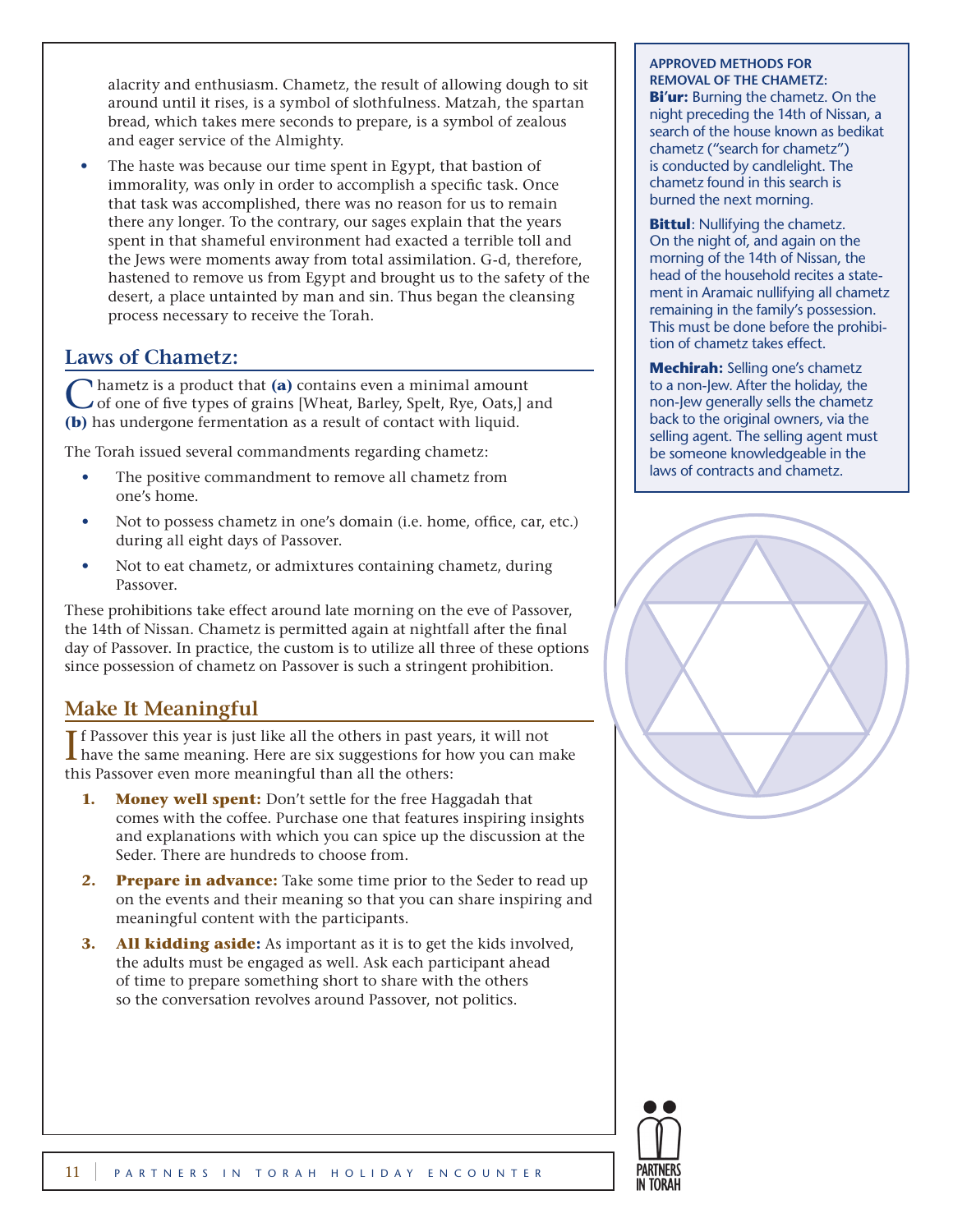alacrity and enthusiasm. Chametz, the result of allowing dough to sit around until it rises, is a symbol of slothfulness. Matzah, the spartan bread, which takes mere seconds to prepare, is a symbol of zealous and eager service of the Almighty.

The haste was because our time spent in Egypt, that bastion of immorality, was only in order to accomplish a specific task. Once that task was accomplished, there was no reason for us to remain there any longer. To the contrary, our sages explain that the years spent in that shameful environment had exacted a terrible toll and the Jews were moments away from total assimilation. G-d, therefore, hastened to remove us from Egypt and brought us to the safety of the desert, a place untainted by man and sin. Thus began the cleansing process necessary to receive the Torah.

## **Laws of Chametz:**

Chametz is a product that **(a)** contains even a minimal amount of one of five types of grains [Wheat, Barley, Spelt, Rye, Oats,] and **(b)** has undergone fermentation as a result of contact with liquid.

The Torah issued several commandments regarding chametz:

- The positive commandment to remove all chametz from one's home.
- Not to possess chametz in one's domain (i.e. home, office, car, etc.) during all eight days of Passover.
- Not to eat chametz, or admixtures containing chametz, during Passover.

These prohibitions take effect around late morning on the eve of Passover, the 14th of Nissan. Chametz is permitted again at nightfall after the final day of Passover. In practice, the custom is to utilize all three of these options since possession of chametz on Passover is such a stringent prohibition.

## **Make It Meaningful**

 $\prod$ f Passover this year is just like all the others in past years, it will not have the same meaning. Here are six suggestions for how you can m **L** have the same meaning. Here are six suggestions for how you can make this Passover even more meaningful than all the others:

- **1.** Money well spent: Don't settle for the free Haggadah that comes with the coffee. Purchase one that features inspiring insights and explanations with which you can spice up the discussion at the Seder. There are hundreds to choose from.
- **2.** Prepare in advance: Take some time prior to the Seder to read up on the events and their meaning so that you can share inspiring and meaningful content with the participants.
- **3. All kidding aside:** As important as it is to get the kids involved, the adults must be engaged as well. Ask each participant ahead of time to prepare something short to share with the others so the conversation revolves around Passover, not politics.

### **Approved methods for removal of the Chametz:**

**Bi'ur:** Burning the chametz. On the night preceding the 14th of Nissan, a search of the house known as bedikat chametz ("search for chametz") is conducted by candlelight. The chametz found in this search is burned the next morning.

**Bittul**: Nullifying the chametz. On the night of, and again on the morning of the 14th of Nissan, the head of the household recites a statement in Aramaic nullifying all chametz remaining in the family's possession. This must be done before the prohibition of chametz takes effect.

**Mechirah:** Selling one's chametz to a non-Jew. After the holiday, the non-Jew generally sells the chametz back to the original owners, via the selling agent. The selling agent must be someone knowledgeable in the laws of contracts and chametz.